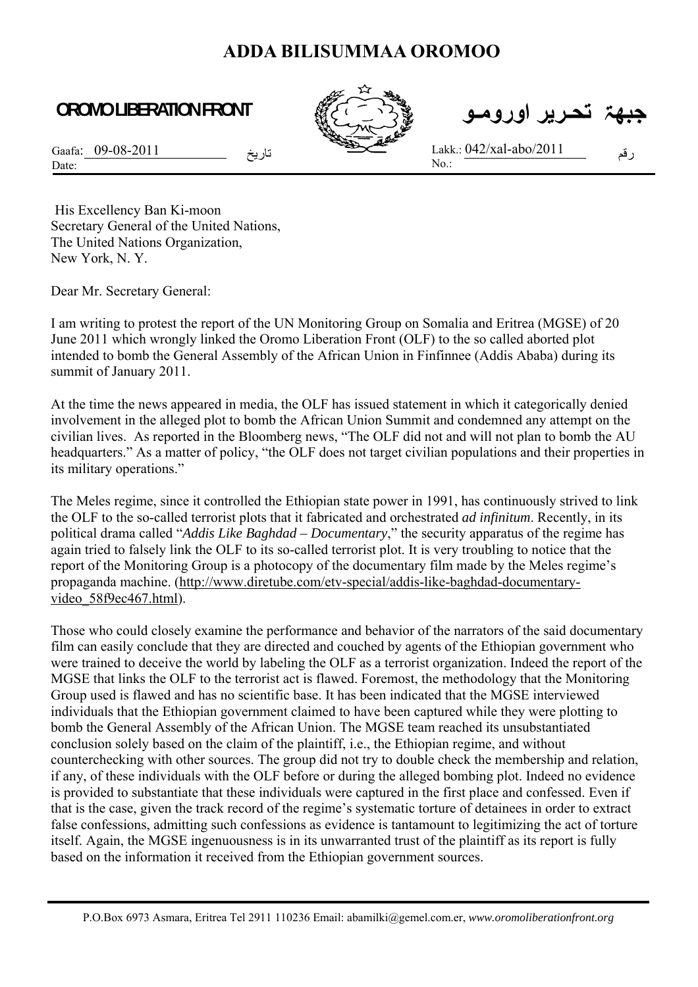## **ADDA BILISUMMAA OROMOO**

## **OROMO LIBERATION FRONT**



 **جبهۃ تحـرير اورومـو**

Gaafa: 09-08-2011 Date:

تاريخ للعلم للعلم Lakk.:  $\underline{042/xal}$ -abo/2011 No.:

His Excellency Ban Ki-moon Secretary General of the United Nations, The United Nations Organization, New York, N. Y.

Dear Mr. Secretary General:

I am writing to protest the report of the UN Monitoring Group on Somalia and Eritrea (MGSE) of 20 June 2011 which wrongly linked the Oromo Liberation Front (OLF) to the so called aborted plot intended to bomb the General Assembly of the African Union in Finfinnee (Addis Ababa) during its summit of January 2011.

At the time the news appeared in media, the OLF has issued statement in which it categorically denied involvement in the alleged plot to bomb the African Union Summit and condemned any attempt on the civilian lives. As reported in the Bloomberg news, "The OLF did not and will not plan to bomb the AU headquarters." As a matter of policy, "the OLF does not target civilian populations and their properties in its military operations."

The Meles regime, since it controlled the Ethiopian state power in 1991, has continuously strived to link the OLF to the so-called terrorist plots that it fabricated and orchestrated *ad infinitum*. Recently, in its political drama called "*Addis Like Baghdad – Documentary*," the security apparatus of the regime has again tried to falsely link the OLF to its so-called terrorist plot. It is very troubling to notice that the report of the Monitoring Group is a photocopy of the documentary film made by the Meles regime's propaganda machine. (http://www.diretube.com/etv-special/addis-like-baghdad-documentaryvideo\_58f9ec467.html).

Those who could closely examine the performance and behavior of the narrators of the said documentary film can easily conclude that they are directed and couched by agents of the Ethiopian government who were trained to deceive the world by labeling the OLF as a terrorist organization. Indeed the report of the MGSE that links the OLF to the terrorist act is flawed. Foremost, the methodology that the Monitoring Group used is flawed and has no scientific base. It has been indicated that the MGSE interviewed individuals that the Ethiopian government claimed to have been captured while they were plotting to bomb the General Assembly of the African Union. The MGSE team reached its unsubstantiated conclusion solely based on the claim of the plaintiff, i.e., the Ethiopian regime, and without counterchecking with other sources. The group did not try to double check the membership and relation, if any, of these individuals with the OLF before or during the alleged bombing plot. Indeed no evidence is provided to substantiate that these individuals were captured in the first place and confessed. Even if that is the case, given the track record of the regime's systematic torture of detainees in order to extract false confessions, admitting such confessions as evidence is tantamount to legitimizing the act of torture itself. Again, the MGSE ingenuousness is in its unwarranted trust of the plaintiff as its report is fully based on the information it received from the Ethiopian government sources.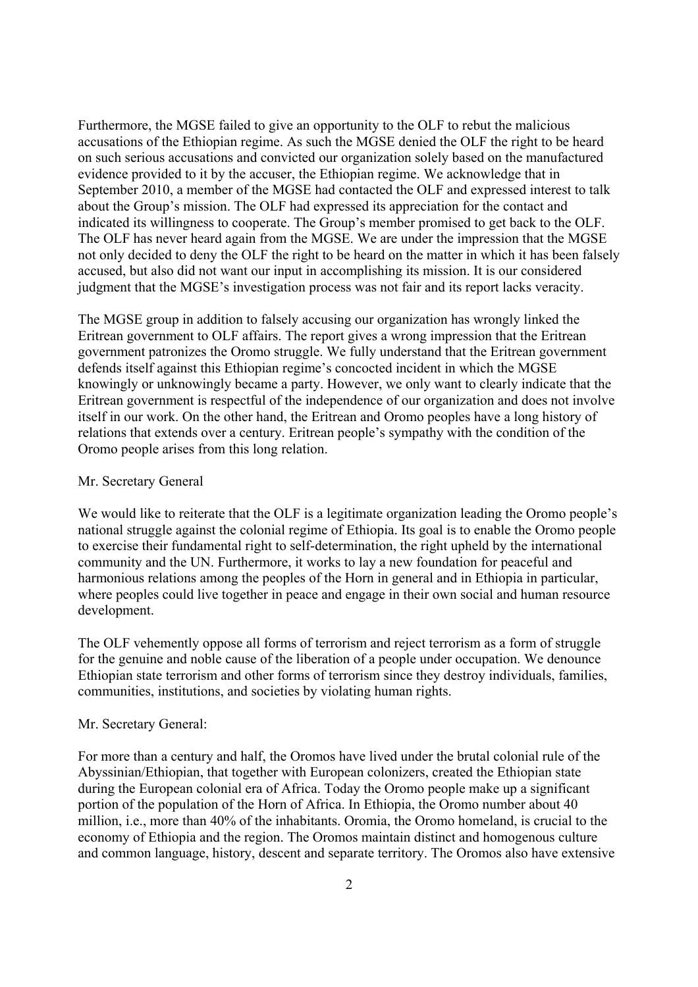Furthermore, the MGSE failed to give an opportunity to the OLF to rebut the malicious accusations of the Ethiopian regime. As such the MGSE denied the OLF the right to be heard on such serious accusations and convicted our organization solely based on the manufactured evidence provided to it by the accuser, the Ethiopian regime. We acknowledge that in September 2010, a member of the MGSE had contacted the OLF and expressed interest to talk about the Group's mission. The OLF had expressed its appreciation for the contact and indicated its willingness to cooperate. The Group's member promised to get back to the OLF. The OLF has never heard again from the MGSE. We are under the impression that the MGSE not only decided to deny the OLF the right to be heard on the matter in which it has been falsely accused, but also did not want our input in accomplishing its mission. It is our considered judgment that the MGSE's investigation process was not fair and its report lacks veracity.

The MGSE group in addition to falsely accusing our organization has wrongly linked the Eritrean government to OLF affairs. The report gives a wrong impression that the Eritrean government patronizes the Oromo struggle. We fully understand that the Eritrean government defends itself against this Ethiopian regime's concocted incident in which the MGSE knowingly or unknowingly became a party. However, we only want to clearly indicate that the Eritrean government is respectful of the independence of our organization and does not involve itself in our work. On the other hand, the Eritrean and Oromo peoples have a long history of relations that extends over a century. Eritrean people's sympathy with the condition of the Oromo people arises from this long relation.

## Mr. Secretary General

We would like to reiterate that the OLF is a legitimate organization leading the Oromo people's national struggle against the colonial regime of Ethiopia. Its goal is to enable the Oromo people to exercise their fundamental right to self-determination, the right upheld by the international community and the UN. Furthermore, it works to lay a new foundation for peaceful and harmonious relations among the peoples of the Horn in general and in Ethiopia in particular, where peoples could live together in peace and engage in their own social and human resource development.

The OLF vehemently oppose all forms of terrorism and reject terrorism as a form of struggle for the genuine and noble cause of the liberation of a people under occupation. We denounce Ethiopian state terrorism and other forms of terrorism since they destroy individuals, families, communities, institutions, and societies by violating human rights.

## Mr. Secretary General:

For more than a century and half, the Oromos have lived under the brutal colonial rule of the Abyssinian/Ethiopian, that together with European colonizers, created the Ethiopian state during the European colonial era of Africa. Today the Oromo people make up a significant portion of the population of the Horn of Africa. In Ethiopia, the Oromo number about 40 million, i.e., more than 40% of the inhabitants. Oromia, the Oromo homeland, is crucial to the economy of Ethiopia and the region. The Oromos maintain distinct and homogenous culture and common language, history, descent and separate territory. The Oromos also have extensive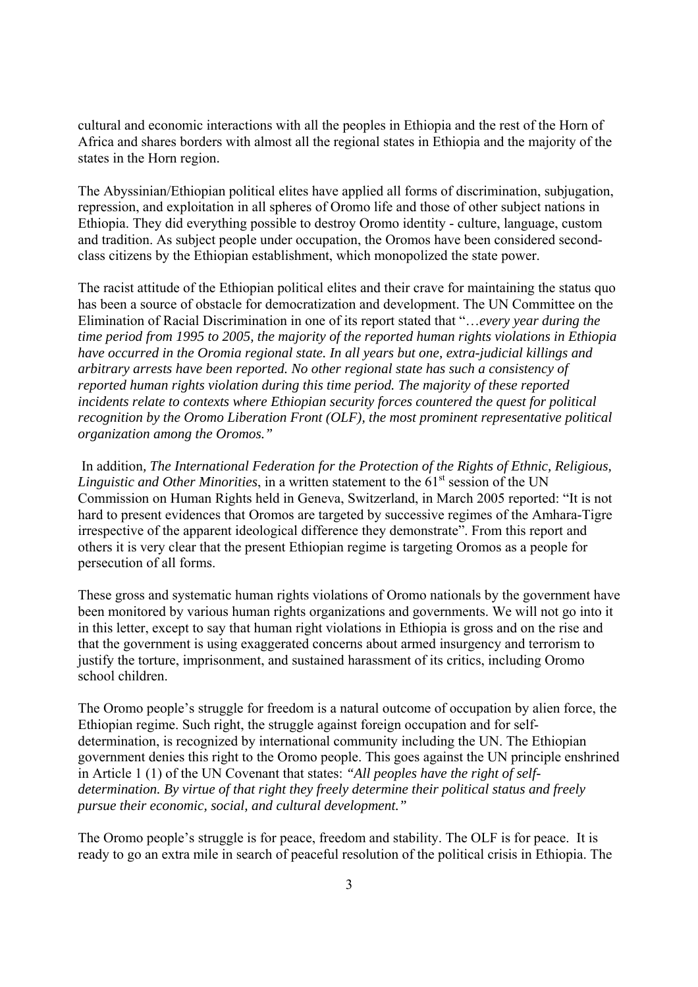cultural and economic interactions with all the peoples in Ethiopia and the rest of the Horn of Africa and shares borders with almost all the regional states in Ethiopia and the majority of the states in the Horn region.

The Abyssinian/Ethiopian political elites have applied all forms of discrimination, subjugation, repression, and exploitation in all spheres of Oromo life and those of other subject nations in Ethiopia. They did everything possible to destroy Oromo identity - culture, language, custom and tradition. As subject people under occupation, the Oromos have been considered secondclass citizens by the Ethiopian establishment, which monopolized the state power.

The racist attitude of the Ethiopian political elites and their crave for maintaining the status quo has been a source of obstacle for democratization and development. The UN Committee on the Elimination of Racial Discrimination in one of its report stated that "…*every year during the time period from 1995 to 2005, the majority of the reported human rights violations in Ethiopia have occurred in the Oromia regional state. In all years but one, extra-judicial killings and arbitrary arrests have been reported. No other regional state has such a consistency of reported human rights violation during this time period. The majority of these reported incidents relate to contexts where Ethiopian security forces countered the quest for political recognition by the Oromo Liberation Front (OLF), the most prominent representative political organization among the Oromos."* 

 In addition*, The International Federation for the Protection of the Rights of Ethnic, Religious, Linguistic and Other Minorities*, in a written statement to the 61<sup>st</sup> session of the UN Commission on Human Rights held in Geneva, Switzerland, in March 2005 reported: "It is not hard to present evidences that Oromos are targeted by successive regimes of the Amhara-Tigre irrespective of the apparent ideological difference they demonstrate". From this report and others it is very clear that the present Ethiopian regime is targeting Oromos as a people for persecution of all forms.

These gross and systematic human rights violations of Oromo nationals by the government have been monitored by various human rights organizations and governments. We will not go into it in this letter, except to say that human right violations in Ethiopia is gross and on the rise and that the government is using exaggerated concerns about armed insurgency and terrorism to justify the torture, imprisonment, and sustained harassment of its critics, including Oromo school children.

The Oromo people's struggle for freedom is a natural outcome of occupation by alien force, the Ethiopian regime. Such right, the struggle against foreign occupation and for selfdetermination, is recognized by international community including the UN. The Ethiopian government denies this right to the Oromo people. This goes against the UN principle enshrined in Article 1 (1) of the UN Covenant that states: *"All peoples have the right of selfdetermination. By virtue of that right they freely determine their political status and freely pursue their economic, social, and cultural development."*

The Oromo people's struggle is for peace, freedom and stability. The OLF is for peace. It is ready to go an extra mile in search of peaceful resolution of the political crisis in Ethiopia. The